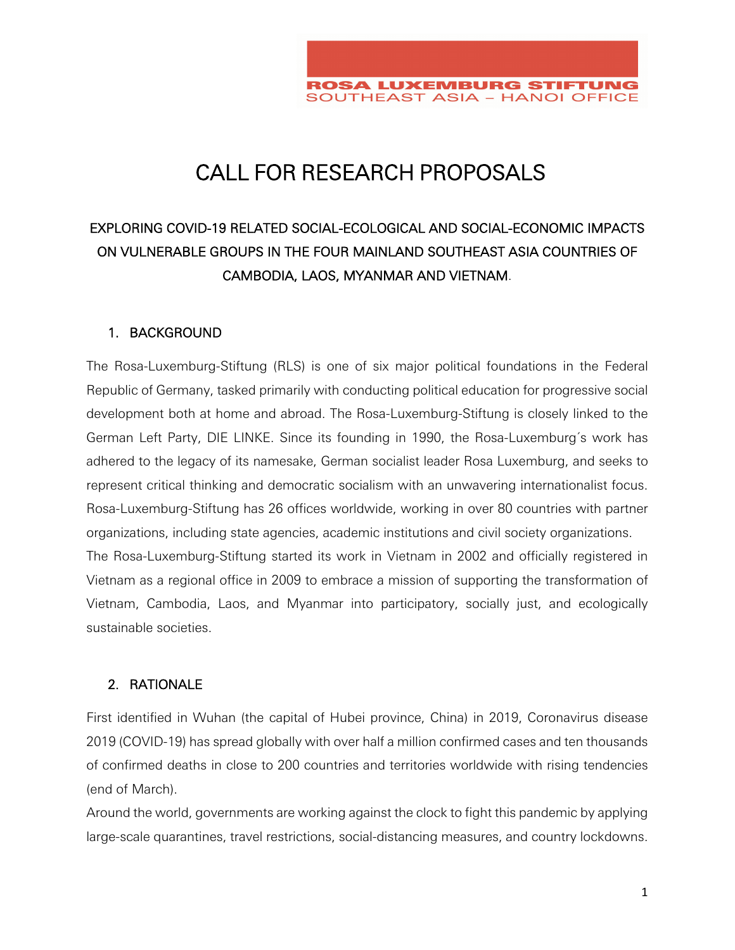

# CALL FOR RESEARCH PROPOSALS

# EXPLORING COVID-19 RELATED SOCIAL-ECOLOGICAL AND SOCIAL-ECONOMIC IMPACTS ON VULNERABLE GROUPS IN THE FOUR MAINLAND SOUTHEAST ASIA COUNTRIES OF CAMBODIA, LAOS, MYANMAR AND VIETNAM.

#### 1. BACKGROUND

The Rosa-Luxemburg-Stiftung (RLS) is one of six major political foundations in the Federal Republic of Germany, tasked primarily with conducting political education for progressive social development both at home and abroad. The Rosa-Luxemburg-Stiftung is closely linked to the German Left Party, DIE LINKE. Since its founding in 1990, the Rosa-Luxemburg´s work has adhered to the legacy of its namesake, German socialist leader Rosa Luxemburg, and seeks to represent critical thinking and democratic socialism with an unwavering internationalist focus. Rosa-Luxemburg-Stiftung has 26 offices worldwide, working in over 80 countries with partner organizations, including state agencies, academic institutions and civil society organizations. The Rosa-Luxemburg-Stiftung started its work in Vietnam in 2002 and officially registered in Vietnam as a regional office in 2009 to embrace a mission of supporting the transformation of Vietnam, Cambodia, Laos, and Myanmar into participatory, socially just, and ecologically sustainable societies.

#### 2. RATIONALE

First identified in Wuhan (the capital of Hubei province, China) in 2019, Coronavirus disease 2019 (COVID-19) has spread globally with over half a million confirmed cases and ten thousands of confirmed deaths in close to 200 countries and territories worldwide with rising tendencies (end of March).

Around the world, governments are working against the clock to fight this pandemic by applying large-scale quarantines, travel restrictions, social-distancing measures, and country lockdowns.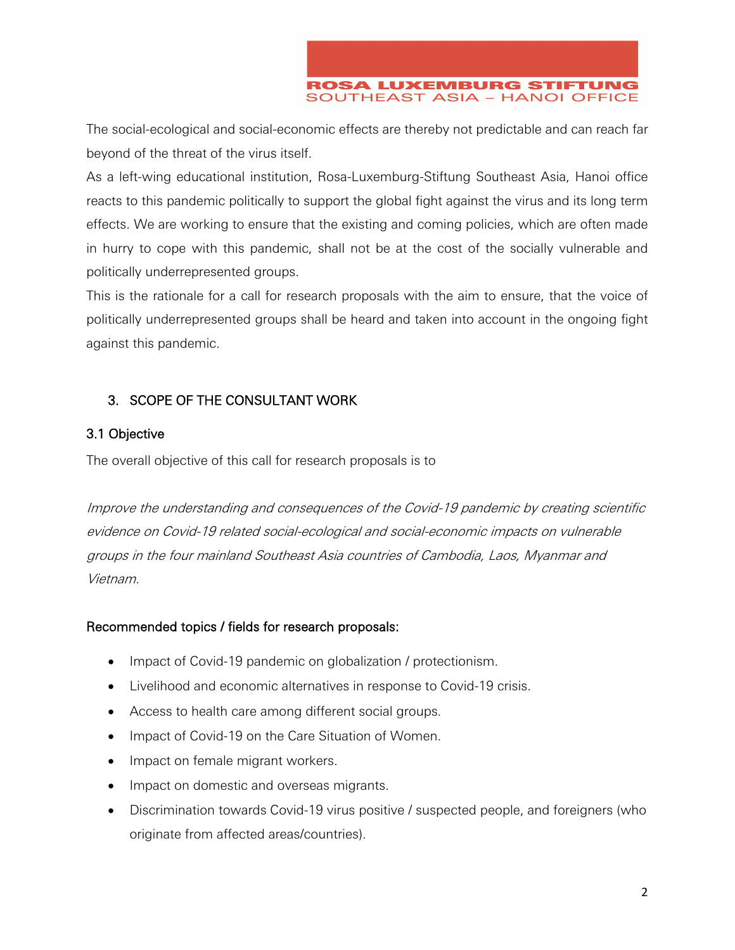**ROSA LUXEMBURG STIFTUNG SOUTHEAST ASIA - HANOI OFFICE** 

The social-ecological and social-economic effects are thereby not predictable and can reach far beyond of the threat of the virus itself.

As a left-wing educational institution, Rosa-Luxemburg-Stiftung Southeast Asia, Hanoi office reacts to this pandemic politically to support the global fight against the virus and its long term effects. We are working to ensure that the existing and coming policies, which are often made in hurry to cope with this pandemic, shall not be at the cost of the socially vulnerable and politically underrepresented groups.

This is the rationale for a call for research proposals with the aim to ensure, that the voice of politically underrepresented groups shall be heard and taken into account in the ongoing fight against this pandemic.

## 3. SCOPE OF THE CONSULTANT WORK

#### 3.1 Objective

The overall objective of this call for research proposals is to

Improve the understanding and consequences of the Covid-19 pandemic by creating scientific evidence on Covid-19 related social-ecological and social-economic impacts on vulnerable groups in the four mainland Southeast Asia countries of Cambodia, Laos, Myanmar and Vietnam.

#### Recommended topics / fields for research proposals:

- Impact of Covid-19 pandemic on globalization / protectionism.
- Livelihood and economic alternatives in response to Covid-19 crisis.
- Access to health care among different social groups.
- Impact of Covid-19 on the Care Situation of Women.
- Impact on female migrant workers.
- Impact on domestic and overseas migrants.
- Discrimination towards Covid-19 virus positive / suspected people, and foreigners (who originate from affected areas/countries).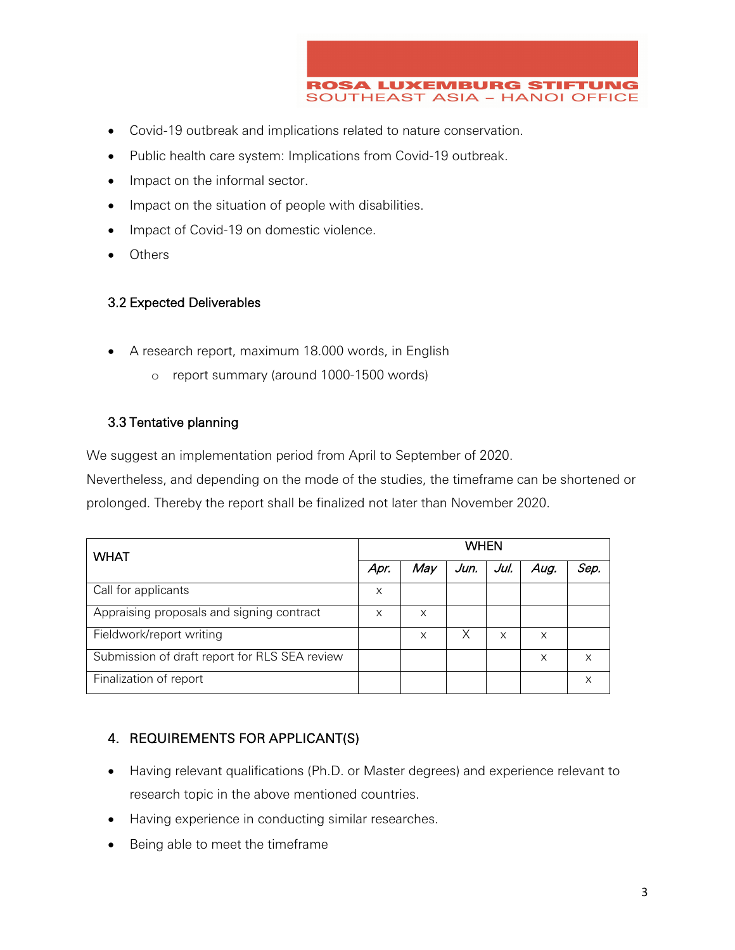

- Covid-19 outbreak and implications related to nature conservation.
- Public health care system: Implications from Covid-19 outbreak.
- Impact on the informal sector.
- Impact on the situation of people with disabilities.
- Impact of Covid-19 on domestic violence.
- **Others**

#### 3.2 Expected Deliverables

- A research report, maximum 18.000 words, in English
	- o report summary (around 1000-1500 words)

#### 3.3 Tentative planning

We suggest an implementation period from April to September of 2020.

Nevertheless, and depending on the mode of the studies, the timeframe can be shortened or prolonged. Thereby the report shall be finalized not later than November 2020.

| <b>WHAT</b>                                   | <b>WHEN</b> |     |      |      |      |      |
|-----------------------------------------------|-------------|-----|------|------|------|------|
|                                               | Apr.        | Mav | Jun. | Jul. | Aug. | Sep. |
| Call for applicants                           | X           |     |      |      |      |      |
| Appraising proposals and signing contract     | X           | X   |      |      |      |      |
| Fieldwork/report writing                      |             | X   | Χ    | X    | X    |      |
| Submission of draft report for RLS SEA review |             |     |      |      | X    | x    |
| Finalization of report                        |             |     |      |      |      | X    |

### 4. REQUIREMENTS FOR APPLICANT(S)

- Having relevant qualifications (Ph.D. or Master degrees) and experience relevant to research topic in the above mentioned countries.
- Having experience in conducting similar researches.
- Being able to meet the timeframe